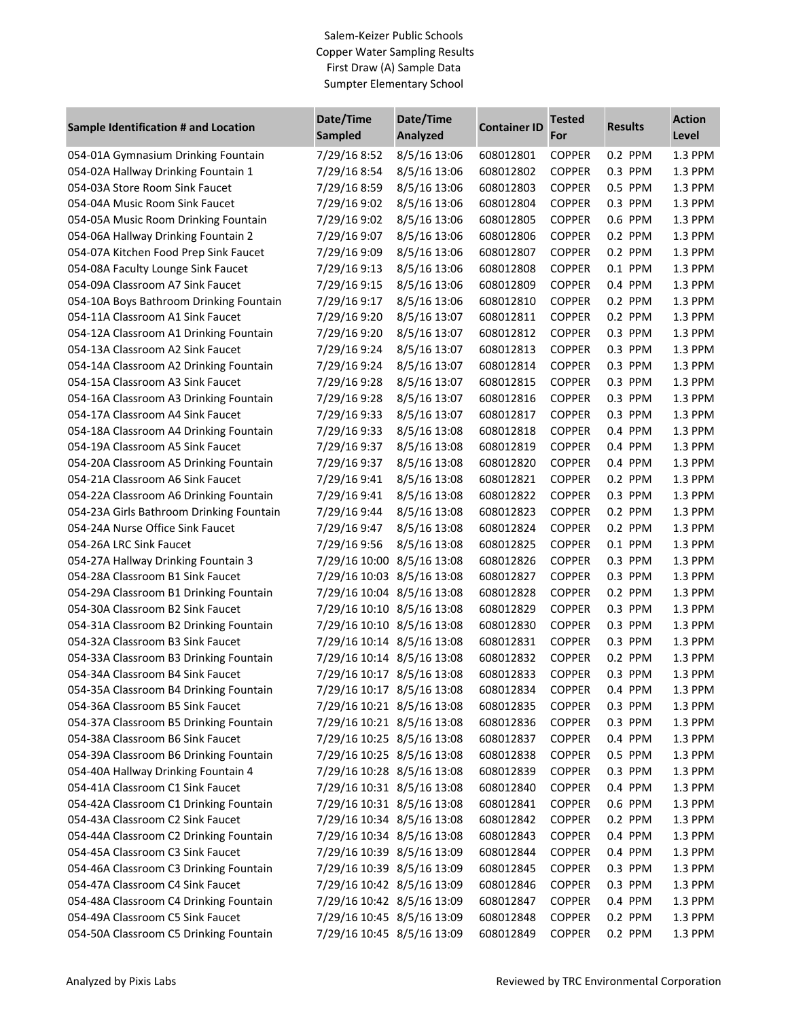## Salem-Keizer Public Schools Copper Water Sampling Results First Draw (A) Sample Data Sumpter Elementary School

| Sample Identification # and Location     | Date/Time<br><b>Sampled</b> | Date/Time<br>Analyzed | <b>Container ID</b> | <b>Tested</b><br>For | <b>Results</b> | <b>Action</b><br>Level |
|------------------------------------------|-----------------------------|-----------------------|---------------------|----------------------|----------------|------------------------|
| 054-01A Gymnasium Drinking Fountain      | 7/29/16 8:52                | 8/5/16 13:06          | 608012801           | <b>COPPER</b>        | 0.2 PPM        | 1.3 PPM                |
| 054-02A Hallway Drinking Fountain 1      | 7/29/16 8:54                | 8/5/16 13:06          | 608012802           | <b>COPPER</b>        | 0.3 PPM        | 1.3 PPM                |
| 054-03A Store Room Sink Faucet           | 7/29/16 8:59                | 8/5/16 13:06          | 608012803           | <b>COPPER</b>        | 0.5 PPM        | 1.3 PPM                |
| 054-04A Music Room Sink Faucet           | 7/29/16 9:02                | 8/5/16 13:06          | 608012804           | <b>COPPER</b>        | 0.3 PPM        | 1.3 PPM                |
| 054-05A Music Room Drinking Fountain     | 7/29/16 9:02                | 8/5/16 13:06          | 608012805           | <b>COPPER</b>        | 0.6 PPM        | 1.3 PPM                |
| 054-06A Hallway Drinking Fountain 2      | 7/29/16 9:07                | 8/5/16 13:06          | 608012806           | <b>COPPER</b>        | 0.2 PPM        | 1.3 PPM                |
| 054-07A Kitchen Food Prep Sink Faucet    | 7/29/16 9:09                | 8/5/16 13:06          | 608012807           | <b>COPPER</b>        | 0.2 PPM        | 1.3 PPM                |
| 054-08A Faculty Lounge Sink Faucet       | 7/29/16 9:13                | 8/5/16 13:06          | 608012808           | <b>COPPER</b>        | 0.1 PPM        | 1.3 PPM                |
| 054-09A Classroom A7 Sink Faucet         | 7/29/16 9:15                | 8/5/16 13:06          | 608012809           | <b>COPPER</b>        | 0.4 PPM        | 1.3 PPM                |
| 054-10A Boys Bathroom Drinking Fountain  | 7/29/16 9:17                | 8/5/16 13:06          | 608012810           | <b>COPPER</b>        | 0.2 PPM        | 1.3 PPM                |
| 054-11A Classroom A1 Sink Faucet         | 7/29/16 9:20                | 8/5/16 13:07          | 608012811           | <b>COPPER</b>        | 0.2 PPM        | 1.3 PPM                |
| 054-12A Classroom A1 Drinking Fountain   | 7/29/16 9:20                | 8/5/16 13:07          | 608012812           | <b>COPPER</b>        | 0.3 PPM        | 1.3 PPM                |
| 054-13A Classroom A2 Sink Faucet         | 7/29/16 9:24                | 8/5/16 13:07          | 608012813           | <b>COPPER</b>        | 0.3 PPM        | 1.3 PPM                |
| 054-14A Classroom A2 Drinking Fountain   | 7/29/16 9:24                | 8/5/16 13:07          | 608012814           | <b>COPPER</b>        | 0.3 PPM        | 1.3 PPM                |
| 054-15A Classroom A3 Sink Faucet         | 7/29/16 9:28                | 8/5/16 13:07          | 608012815           | <b>COPPER</b>        | 0.3 PPM        | 1.3 PPM                |
| 054-16A Classroom A3 Drinking Fountain   | 7/29/16 9:28                | 8/5/16 13:07          | 608012816           | <b>COPPER</b>        | 0.3 PPM        | 1.3 PPM                |
| 054-17A Classroom A4 Sink Faucet         | 7/29/16 9:33                | 8/5/16 13:07          | 608012817           | <b>COPPER</b>        | 0.3 PPM        | 1.3 PPM                |
| 054-18A Classroom A4 Drinking Fountain   | 7/29/16 9:33                | 8/5/16 13:08          | 608012818           | <b>COPPER</b>        | 0.4 PPM        | 1.3 PPM                |
| 054-19A Classroom A5 Sink Faucet         | 7/29/16 9:37                | 8/5/16 13:08          | 608012819           | <b>COPPER</b>        | 0.4 PPM        | 1.3 PPM                |
| 054-20A Classroom A5 Drinking Fountain   | 7/29/16 9:37                | 8/5/16 13:08          | 608012820           | <b>COPPER</b>        | 0.4 PPM        | 1.3 PPM                |
| 054-21A Classroom A6 Sink Faucet         | 7/29/16 9:41                | 8/5/16 13:08          | 608012821           | <b>COPPER</b>        | 0.2 PPM        | 1.3 PPM                |
| 054-22A Classroom A6 Drinking Fountain   | 7/29/16 9:41                | 8/5/16 13:08          | 608012822           | <b>COPPER</b>        | 0.3 PPM        | 1.3 PPM                |
| 054-23A Girls Bathroom Drinking Fountain | 7/29/16 9:44                | 8/5/16 13:08          | 608012823           | <b>COPPER</b>        | 0.2 PPM        | 1.3 PPM                |
| 054-24A Nurse Office Sink Faucet         | 7/29/16 9:47                | 8/5/16 13:08          | 608012824           | <b>COPPER</b>        | 0.2 PPM        | 1.3 PPM                |
| 054-26A LRC Sink Faucet                  | 7/29/16 9:56                | 8/5/16 13:08          | 608012825           | <b>COPPER</b>        | 0.1 PPM        | 1.3 PPM                |
| 054-27A Hallway Drinking Fountain 3      | 7/29/16 10:00 8/5/16 13:08  |                       | 608012826           | <b>COPPER</b>        | 0.3 PPM        | 1.3 PPM                |
| 054-28A Classroom B1 Sink Faucet         | 7/29/16 10:03 8/5/16 13:08  |                       | 608012827           | <b>COPPER</b>        | 0.3 PPM        | 1.3 PPM                |
| 054-29A Classroom B1 Drinking Fountain   | 7/29/16 10:04 8/5/16 13:08  |                       | 608012828           | <b>COPPER</b>        | 0.2 PPM        | 1.3 PPM                |
| 054-30A Classroom B2 Sink Faucet         | 7/29/16 10:10 8/5/16 13:08  |                       | 608012829           | <b>COPPER</b>        | 0.3 PPM        | 1.3 PPM                |
| 054-31A Classroom B2 Drinking Fountain   | 7/29/16 10:10 8/5/16 13:08  |                       | 608012830           | <b>COPPER</b>        | 0.3 PPM        | 1.3 PPM                |
| 054-32A Classroom B3 Sink Faucet         | 7/29/16 10:14 8/5/16 13:08  |                       | 608012831           | <b>COPPER</b>        | 0.3 PPM        | 1.3 PPM                |
| 054-33A Classroom B3 Drinking Fountain   | 7/29/16 10:14 8/5/16 13:08  |                       | 608012832           | <b>COPPER</b>        | 0.2 PPM        | 1.3 PPM                |
| 054-34A Classroom B4 Sink Faucet         | 7/29/16 10:17 8/5/16 13:08  |                       | 608012833           | <b>COPPER</b>        | 0.3 PPM        | 1.3 PPM                |
| 054-35A Classroom B4 Drinking Fountain   | 7/29/16 10:17 8/5/16 13:08  |                       | 608012834           | <b>COPPER</b>        | 0.4 PPM        | 1.3 PPM                |
| 054-36A Classroom B5 Sink Faucet         | 7/29/16 10:21 8/5/16 13:08  |                       | 608012835           | <b>COPPER</b>        | 0.3 PPM        | 1.3 PPM                |
| 054-37A Classroom B5 Drinking Fountain   | 7/29/16 10:21 8/5/16 13:08  |                       | 608012836           | <b>COPPER</b>        | 0.3 PPM        | 1.3 PPM                |
| 054-38A Classroom B6 Sink Faucet         | 7/29/16 10:25 8/5/16 13:08  |                       | 608012837           | <b>COPPER</b>        | 0.4 PPM        | 1.3 PPM                |
| 054-39A Classroom B6 Drinking Fountain   | 7/29/16 10:25 8/5/16 13:08  |                       | 608012838           | <b>COPPER</b>        | 0.5 PPM        | 1.3 PPM                |
| 054-40A Hallway Drinking Fountain 4      | 7/29/16 10:28 8/5/16 13:08  |                       | 608012839           | <b>COPPER</b>        | 0.3 PPM        | 1.3 PPM                |
| 054-41A Classroom C1 Sink Faucet         | 7/29/16 10:31 8/5/16 13:08  |                       | 608012840           | <b>COPPER</b>        | 0.4 PPM        | 1.3 PPM                |
| 054-42A Classroom C1 Drinking Fountain   | 7/29/16 10:31 8/5/16 13:08  |                       | 608012841           | <b>COPPER</b>        | 0.6 PPM        | 1.3 PPM                |
| 054-43A Classroom C2 Sink Faucet         | 7/29/16 10:34 8/5/16 13:08  |                       | 608012842           | <b>COPPER</b>        | 0.2 PPM        | 1.3 PPM                |
| 054-44A Classroom C2 Drinking Fountain   | 7/29/16 10:34 8/5/16 13:08  |                       | 608012843           | <b>COPPER</b>        | 0.4 PPM        | 1.3 PPM                |
| 054-45A Classroom C3 Sink Faucet         | 7/29/16 10:39 8/5/16 13:09  |                       | 608012844           | <b>COPPER</b>        | 0.4 PPM        | 1.3 PPM                |
| 054-46A Classroom C3 Drinking Fountain   | 7/29/16 10:39 8/5/16 13:09  |                       | 608012845           | <b>COPPER</b>        | 0.3 PPM        | 1.3 PPM                |
| 054-47A Classroom C4 Sink Faucet         | 7/29/16 10:42 8/5/16 13:09  |                       | 608012846           | <b>COPPER</b>        | 0.3 PPM        | 1.3 PPM                |
| 054-48A Classroom C4 Drinking Fountain   | 7/29/16 10:42 8/5/16 13:09  |                       | 608012847           | <b>COPPER</b>        | 0.4 PPM        | 1.3 PPM                |
| 054-49A Classroom C5 Sink Faucet         | 7/29/16 10:45 8/5/16 13:09  |                       | 608012848           | <b>COPPER</b>        | 0.2 PPM        | 1.3 PPM                |
| 054-50A Classroom C5 Drinking Fountain   | 7/29/16 10:45 8/5/16 13:09  |                       | 608012849           | <b>COPPER</b>        | 0.2 PPM        | 1.3 PPM                |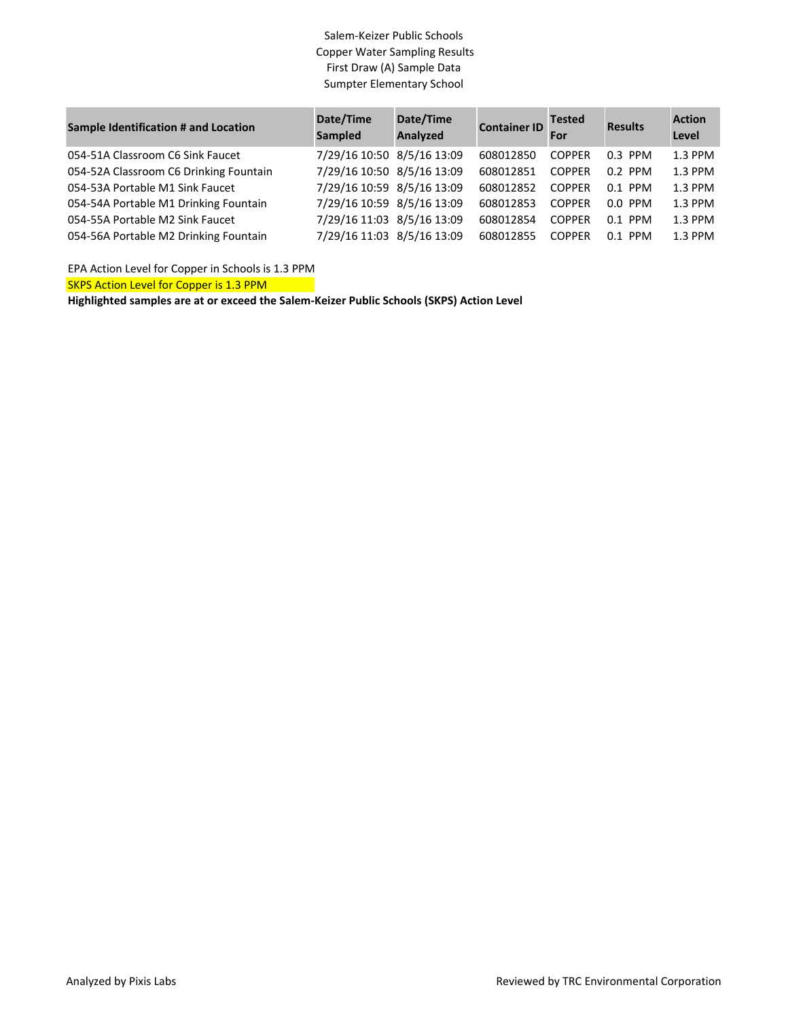## Salem-Keizer Public Schools Copper Water Sampling Results First Draw (A) Sample Data Sumpter Elementary School

| <b>Sample Identification # and Location</b> | Date/Time<br><b>Sampled</b> | Date/Time<br>Analyzed | <b>Container ID</b> | <b>Tested</b><br>For | <b>Results</b> | <b>Action</b><br>Level |
|---------------------------------------------|-----------------------------|-----------------------|---------------------|----------------------|----------------|------------------------|
| 054-51A Classroom C6 Sink Faucet            | 7/29/16 10:50 8/5/16 13:09  |                       | 608012850           | <b>COPPER</b>        | $0.3$ PPM      | 1.3 PPM                |
| 054-52A Classroom C6 Drinking Fountain      | 7/29/16 10:50 8/5/16 13:09  |                       | 608012851           | <b>COPPER</b>        | $0.2$ PPM      | 1.3 PPM                |
| 054-53A Portable M1 Sink Faucet             | 7/29/16 10:59 8/5/16 13:09  |                       | 608012852           | <b>COPPER</b>        | $0.1$ PPM      | 1.3 PPM                |
| 054-54A Portable M1 Drinking Fountain       | 7/29/16 10:59 8/5/16 13:09  |                       | 608012853           | <b>COPPER</b>        | $0.0$ PPM      | 1.3 PPM                |
| 054-55A Portable M2 Sink Faucet             | 7/29/16 11:03 8/5/16 13:09  |                       | 608012854           | <b>COPPER</b>        | $0.1$ PPM      | 1.3 PPM                |
| 054-56A Portable M2 Drinking Fountain       | 7/29/16 11:03 8/5/16 13:09  |                       | 608012855           | <b>COPPER</b>        | $0.1$ PPM      | 1.3 PPM                |

EPA Action Level for Copper in Schools is 1.3 PPM

SKPS Action Level for Copper is 1.3 PPM

**Highlighted samples are at or exceed the Salem-Keizer Public Schools (SKPS) Action Level**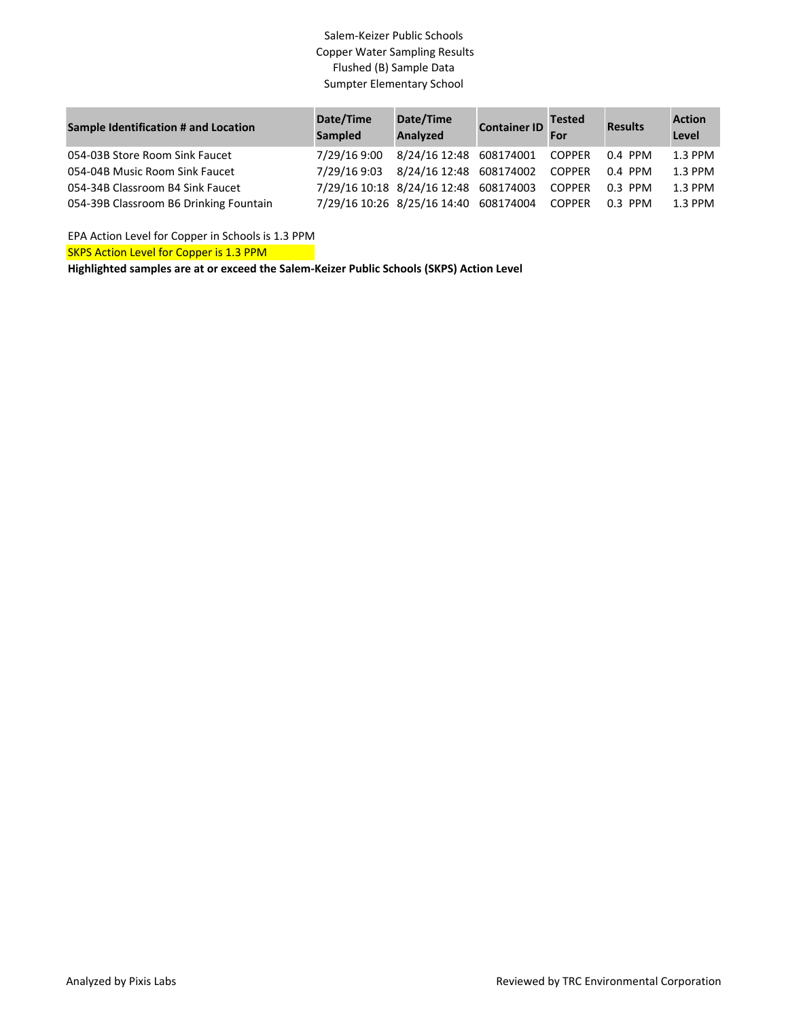## Salem-Keizer Public Schools Copper Water Sampling Results Flushed (B) Sample Data Sumpter Elementary School

| <b>Sample Identification # and Location</b> | Date/Time<br><b>Sampled</b> | Date/Time<br>Analyzed                        | <b>Container ID</b> For | <b>Tested</b>  | <b>Results</b> | <b>Action</b><br>Level |
|---------------------------------------------|-----------------------------|----------------------------------------------|-------------------------|----------------|----------------|------------------------|
| 054-03B Store Room Sink Faucet              | 7/29/16 9:00                | 8/24/16 12:48 608174001                      |                         | COPPER         | 0.4 PPM        | 1.3 PPM                |
| 054-04B Music Room Sink Faucet              |                             | 7/29/16 9:03 8/24/16 12:48 608174002         |                         | COPPER         | 0.4 PPM        | 1.3 PPM                |
| 054-34B Classroom B4 Sink Faucet            |                             | 7/29/16 10:18 8/24/16 12:48 608174003        |                         | COPPER 0.3 PPM |                | 1.3 PPM                |
| 054-39B Classroom B6 Drinking Fountain      |                             | 7/29/16 10:26 8/25/16 14:40 608174004 COPPER |                         |                | 0.3 PPM        | 1.3 PPM                |

EPA Action Level for Copper in Schools is 1.3 PPM

SKPS Action Level for Copper is 1.3 PPM

**Highlighted samples are at or exceed the Salem-Keizer Public Schools (SKPS) Action Level**